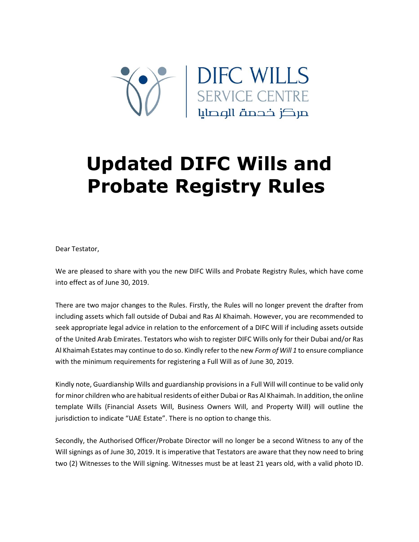

## **Updated DIFC Wills and Probate Registry Rules**

Dear Testator,

We are pleased to share with you the new DIFC Wills and Probate Registry Rules, which have come into effect as of June 30, 2019.

There are two major changes to the Rules. Firstly, the Rules will no longer prevent the drafter from including assets which fall outside of Dubai and Ras Al Khaimah. However, you are recommended to seek appropriate legal advice in relation to the enforcement of a DIFC Will if including assets outside of the United Arab Emirates. Testators who wish to register DIFC Wills only for their Dubai and/or Ras Al Khaimah Estates may continue to do so. Kindly refer to the new *Form of Will 1* to ensure compliance with the minimum requirements for registering a Full Will as of June 30, 2019.

Kindly note, Guardianship Wills and guardianship provisions in a Full Will will continue to be valid only for minor children who are habitual residents of either Dubai or Ras Al Khaimah. In addition, the online template Wills (Financial Assets Will, Business Owners Will, and Property Will) will outline the jurisdiction to indicate "UAE Estate". There is no option to change this.

Secondly, the Authorised Officer/Probate Director will no longer be a second Witness to any of the Will signings as of June 30, 2019. It is imperative that Testators are aware that they now need to bring two (2) Witnesses to the Will signing. Witnesses must be at least 21 years old, with a valid photo ID.